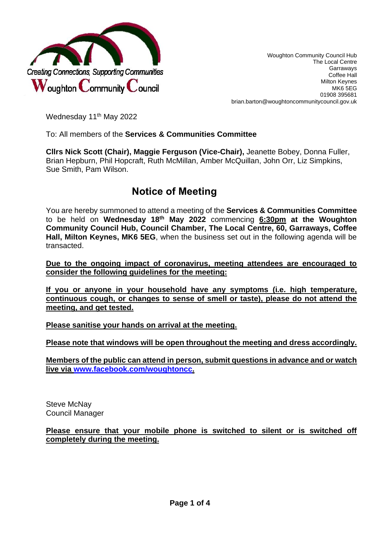

Woughton Community Council Hub The Local Centre Garraways Coffee Hall Milton Keynes MK6 5EG 01908 395681 brian.barton@woughtoncommunitycouncil.gov.uk

Wednesday 11<sup>th</sup> May 2022

To: All members of the **Services & Communities Committee**

**Cllrs Nick Scott (Chair), Maggie Ferguson (Vice-Chair),** Jeanette Bobey, Donna Fuller, Brian Hepburn, Phil Hopcraft, Ruth McMillan, Amber McQuillan, John Orr, Liz Simpkins, Sue Smith, Pam Wilson.

# **Notice of Meeting**

You are hereby summoned to attend a meeting of the **Services & Communities Committee**  to be held on **Wednesday 18th May 2022** commencing **6:30pm at the Woughton Community Council Hub, Council Chamber, The Local Centre, 60, Garraways, Coffee Hall, Milton Keynes, MK6 5EG**, when the business set out in the following agenda will be transacted.

**Due to the ongoing impact of coronavirus, meeting attendees are encouraged to consider the following guidelines for the meeting:**

**If you or anyone in your household have any symptoms (i.e. high temperature, continuous cough, or changes to sense of smell or taste), please do not attend the meeting, and get tested.** 

**Please sanitise your hands on arrival at the meeting.**

**Please note that windows will be open throughout the meeting and dress accordingly.**

**Members of the public can attend in person, submit questions in advance and or watch live via [www.facebook.com/woughtoncc.](http://www.facebook.com/woughtoncc)**

Steve McNay Council Manager

**Please ensure that your mobile phone is switched to silent or is switched off completely during the meeting.**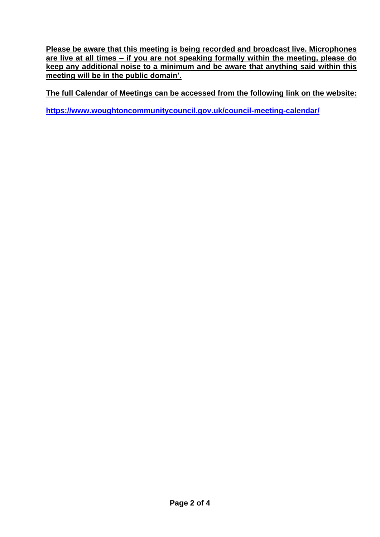**Please be aware that this meeting is being recorded and broadcast live. Microphones are live at all times – if you are not speaking formally within the meeting, please do keep any additional noise to a minimum and be aware that anything said within this meeting will be in the public domain'.** 

**The full Calendar of Meetings can be accessed from the following link on the website:** 

**<https://www.woughtoncommunitycouncil.gov.uk/council-meeting-calendar/>**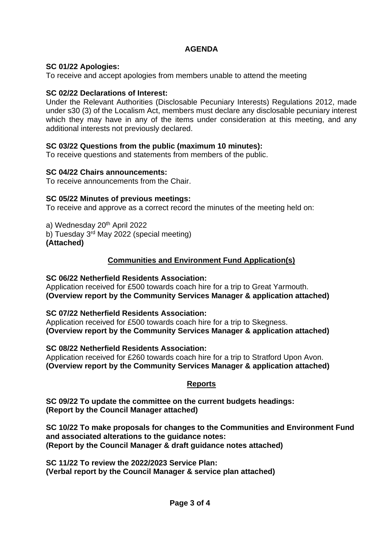## **AGENDA**

## **SC 01/22 Apologies:**

To receive and accept apologies from members unable to attend the meeting

## **SC 02/22 Declarations of Interest:**

Under the Relevant Authorities (Disclosable Pecuniary Interests) Regulations 2012, made under s30 (3) of the Localism Act, members must declare any disclosable pecuniary interest which they may have in any of the items under consideration at this meeting, and any additional interests not previously declared.

### **SC 03/22 Questions from the public (maximum 10 minutes):**

To receive questions and statements from members of the public.

### **SC 04/22 Chairs announcements:**

To receive announcements from the Chair.

## **SC 05/22 Minutes of previous meetings:**

To receive and approve as a correct record the minutes of the meeting held on:

a) Wednesday 20<sup>th</sup> April 2022 b) Tuesday 3rd May 2022 (special meeting) **(Attached)** 

## **Communities and Environment Fund Application(s)**

#### **SC 06/22 Netherfield Residents Association:**

Application received for £500 towards coach hire for a trip to Great Yarmouth. **(Overview report by the Community Services Manager & application attached)**

#### **SC 07/22 Netherfield Residents Association:**

Application received for £500 towards coach hire for a trip to Skegness. **(Overview report by the Community Services Manager & application attached)**

#### **SC 08/22 Netherfield Residents Association:**

Application received for £260 towards coach hire for a trip to Stratford Upon Avon. **(Overview report by the Community Services Manager & application attached)** 

## **Reports**

**SC 09/22 To update the committee on the current budgets headings: (Report by the Council Manager attached)** 

**SC 10/22 To make proposals for changes to the Communities and Environment Fund and associated alterations to the guidance notes: (Report by the Council Manager & draft guidance notes attached)** 

**SC 11/22 To review the 2022/2023 Service Plan: (Verbal report by the Council Manager & service plan attached)**